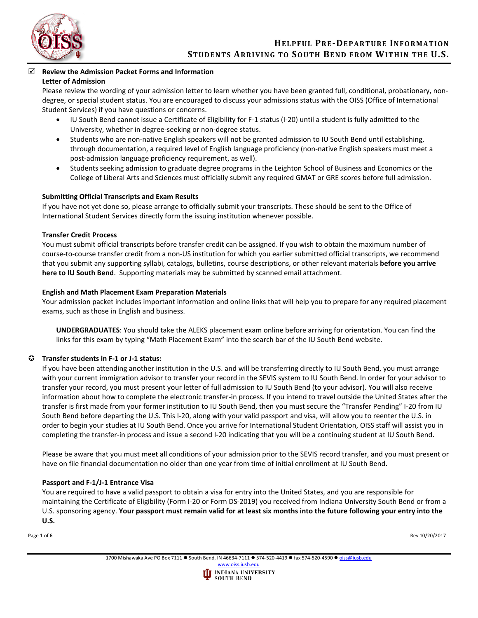

## **Review the Admission Packet Forms and Information Letter of Admission**

Please review the wording of your admission letter to learn whether you have been granted full, conditional, probationary, nondegree, or special student status. You are encouraged to discuss your admissions status with the OISS (Office of International Student Services) if you have questions or concerns.

- IU South Bend cannot issue a Certificate of Eligibility for F-1 status (I-20) until a student is fully admitted to the University, whether in degree-seeking or non-degree status.
- Students who are non-native English speakers will not be granted admission to IU South Bend until establishing, through documentation, a required level of English language proficiency (non-native English speakers must meet a post-admission language proficiency requirement, as well).
- Students seeking admission to graduate degree programs in the Leighton School of Business and Economics or the College of Liberal Arts and Sciences must officially submit any required GMAT or GRE scores before full admission.

# **Submitting Official Transcripts and Exam Results**

If you have not yet done so, please arrange to officially submit your transcripts. These should be sent to the Office of International Student Services directly form the issuing institution whenever possible.

## **Transfer Credit Process**

You must submit official transcripts before transfer credit can be assigned. If you wish to obtain the maximum number of course-to-course transfer credit from a non-US institution for which you earlier submitted official transcripts, we recommend that you submit any supporting syllabi, catalogs, bulletins, course descriptions, or other relevant materials **before you arrive here to IU South Bend**. Supporting materials may be submitted by scanned email attachment.

# **English and Math Placement Exam Preparation Materials**

Your admission packet includes important information and online links that will help you to prepare for any required placement exams, such as those in English and business.

**UNDERGRADUATES**: You should take the ALEKS placement exam online before arriving for orientation. You can find the links for this exam by typing "Math Placement Exam" into the search bar of the IU South Bend website.

# **Transfer students in F-1 or J-1 status:**

If you have been attending another institution in the U.S. and will be transferring directly to IU South Bend, you must arrange with your current immigration advisor to transfer your record in the SEVIS system to IU South Bend. In order for your advisor to transfer your record, you must present your letter of full admission to IU South Bend (to your advisor). You will also receive information about how to complete the electronic transfer-in process. If you intend to travel outside the United States after the transfer is first made from your former institution to IU South Bend, then you must secure the "Transfer Pending" I-20 from IU South Bend before departing the U.S. This I-20, along with your valid passport and visa, will allow you to reenter the U.S. in order to begin your studies at IU South Bend. Once you arrive for International Student Orientation, OISS staff will assist you in completing the transfer-in process and issue a second I-20 indicating that you will be a continuing student at IU South Bend.

Please be aware that you must meet all conditions of your admission prior to the SEVIS record transfer, and you must present or have on file financial documentation no older than one year from time of initial enrollment at IU South Bend.

## **Passport and F-1/J-1 Entrance Visa**

You are required to have a valid passport to obtain a visa for entry into the United States, and you are responsible for maintaining the Certificate of Eligibility (Form I-20 or Form DS-2019) you received from Indiana University South Bend or from a U.S. sponsoring agency. **Your passport must remain valid for at least six months into the future following your entry into the U.S.**

Page 1 of 6 Rev 10/20/2017

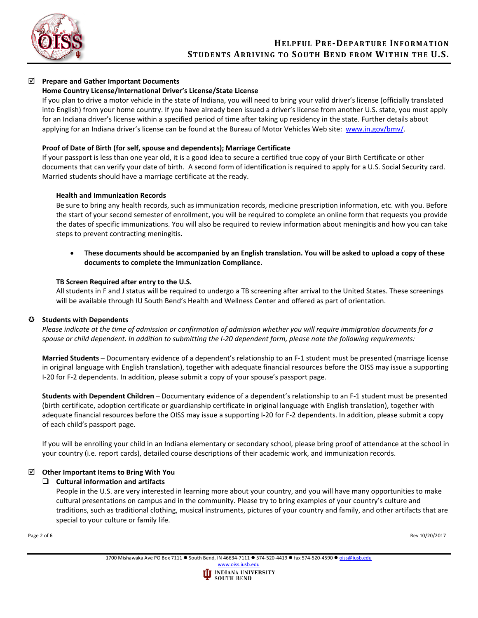

# **Prepare and Gather Important Documents**

# **Home Country License/International Driver's License/State License**

If you plan to drive a motor vehicle in the state of Indiana, you will need to bring your valid driver's license (officially translated into English) from your home country. If you have already been issued a driver's license from another U.S. state, you must apply for an Indiana driver's license within a specified period of time after taking up residency in the state. Further details about applying for an Indiana driver's license can be found at the Bureau of Motor Vehicles Web site: [www.in.gov/bmv/.](http://www.in.gov/bmv/)

# **Proof of Date of Birth (for self, spouse and dependents); Marriage Certificate**

If your passport is less than one year old, it is a good idea to secure a certified true copy of your Birth Certificate or other documents that can verify your date of birth. A second form of identification is required to apply for a U.S. Social Security card. Married students should have a marriage certificate at the ready.

## **Health and Immunization Records**

Be sure to bring any health records, such as immunization records, medicine prescription information, etc. with you. Before the start of your second semester of enrollment, you will be required to complete an online form that requests you provide the dates of specific immunizations. You will also be required to review information about meningitis and how you can take steps to prevent contracting meningitis.

• **These documents should be accompanied by an English translation. You will be asked to upload a copy of these documents to complete the Immunization Compliance.** 

### **TB Screen Required after entry to the U.S.**

All students in F and J status will be required to undergo a TB screening after arrival to the United States. These screenings will be available through IU South Bend's Health and Wellness Center and offered as part of orientation.

## **Students with Dependents**

*Please indicate at the time of admission or confirmation of admission whether you will require immigration documents for a spouse or child dependent. In addition to submitting the I-20 dependent form, please note the following requirements:*

**Married Students** – Documentary evidence of a dependent's relationship to an F-1 student must be presented (marriage license in original language with English translation), together with adequate financial resources before the OISS may issue a supporting I-20 for F-2 dependents. In addition, please submit a copy of your spouse's passport page.

**Students with Dependent Children** – Documentary evidence of a dependent's relationship to an F-1 student must be presented (birth certificate, adoption certificate or guardianship certificate in original language with English translation), together with adequate financial resources before the OISS may issue a supporting I-20 for F-2 dependents. In addition, please submit a copy of each child's passport page.

If you will be enrolling your child in an Indiana elementary or secondary school, please bring proof of attendance at the school in your country (i.e. report cards), detailed course descriptions of their academic work, and immunization records.

## **Other Important Items to Bring With You**

## **Cultural information and artifacts**

People in the U.S. are very interested in learning more about your country, and you will have many opportunities to make cultural presentations on campus and in the community. Please try to bring examples of your country's culture and traditions, such as traditional clothing, musical instruments, pictures of your country and family, and other artifacts that are special to your culture or family life.

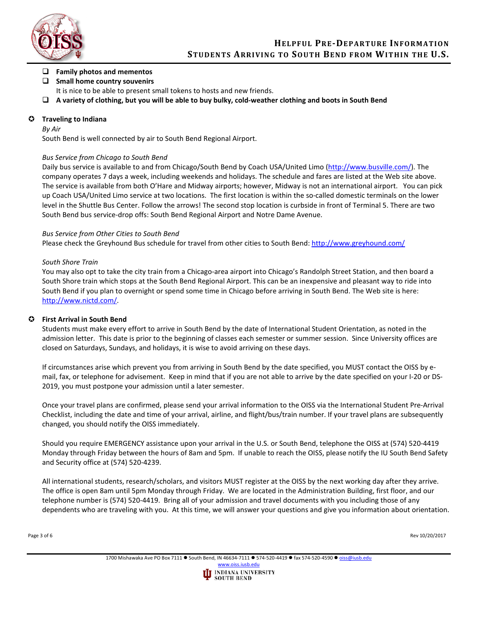

# **Family photos and mementos**

# **Small home country souvenirs**

- It is nice to be able to present small tokens to hosts and new friends.
- **A variety of clothing, but you will be able to buy bulky, cold-weather clothing and boots in South Bend**

# **Traveling to Indiana**

## *By Air*

South Bend is well connected by air to South Bend Regional Airport.

# *Bus Service from Chicago to South Bend*

Daily bus service is available to and from Chicago/South Bend by Coach USA/United Limo [\(http://www.busville.com/\)](http://www.busville.com/). The company operates 7 days a week, including weekends and holidays. The schedule and fares are listed at the Web site above. The service is available from both O'Hare and Midway airports; however, Midway is not an international airport. You can pick up Coach USA/United Limo service at two locations. The first location is within the so-called domestic terminals on the lower level in the Shuttle Bus Center. Follow the arrows! The second stop location is curbside in front of Terminal 5. There are two South Bend bus service-drop offs: South Bend Regional Airport and Notre Dame Avenue.

# *Bus Service from Other Cities to South Bend*

Please check the Greyhound Bus schedule for travel from other cities to South Bend[: http://www.greyhound.com/](http://www.greyhound.com/)

# *South Shore Train*

You may also opt to take the city train from a Chicago-area airport into Chicago's Randolph Street Station, and then board a South Shore train which stops at the South Bend Regional Airport. This can be an inexpensive and pleasant way to ride into South Bend if you plan to overnight or spend some time in Chicago before arriving in South Bend. The Web site is here: [http://www.nictd.com/.](http://www.nictd.com/)

# **First Arrival in South Bend**

Students must make every effort to arrive in South Bend by the date of International Student Orientation, as noted in the admission letter. This date is prior to the beginning of classes each semester or summer session. Since University offices are closed on Saturdays, Sundays, and holidays, it is wise to avoid arriving on these days.

If circumstances arise which prevent you from arriving in South Bend by the date specified, you MUST contact the OISS by email, fax, or telephone for advisement. Keep in mind that if you are not able to arrive by the date specified on your I-20 or DS-2019, you must postpone your admission until a later semester.

Once your travel plans are confirmed, please send your arrival information to the OISS via the International Student Pre-Arrival Checklist, including the date and time of your arrival, airline, and flight/bus/train number. If your travel plans are subsequently changed, you should notify the OISS immediately.

Should you require EMERGENCY assistance upon your arrival in the U.S. or South Bend, telephone the OISS at (574) 520-4419 Monday through Friday between the hours of 8am and 5pm. If unable to reach the OISS, please notify the IU South Bend Safety and Security office at (574) 520-4239.

All international students, research/scholars, and visitors MUST register at the OISS by the next working day after they arrive. The office is open 8am until 5pm Monday through Friday. We are located in the Administration Building, first floor, and our telephone number is (574) 520-4419. Bring all of your admission and travel documents with you including those of any dependents who are traveling with you. At this time, we will answer your questions and give you information about orientation.

Page 3 of 6 Rev 10/20/2017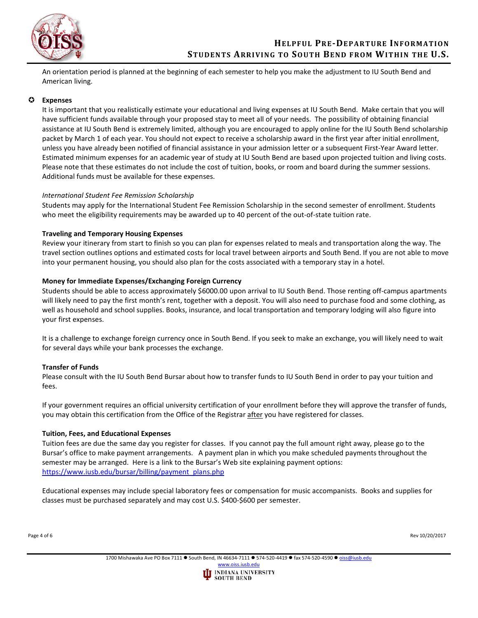

An orientation period is planned at the beginning of each semester to help you make the adjustment to IU South Bend and American living.

# **Expenses**

It is important that you realistically estimate your educational and living expenses at IU South Bend. Make certain that you will have sufficient funds available through your proposed stay to meet all of your needs. The possibility of obtaining financial assistance at IU South Bend is extremely limited, although you are encouraged to apply online for the IU South Bend scholarship packet by March 1 of each year. You should not expect to receive a scholarship award in the first year after initial enrollment, unless you have already been notified of financial assistance in your admission letter or a subsequent First-Year Award letter. Estimated minimum expenses for an academic year of study at IU South Bend are based upon projected tuition and living costs. Please note that these estimates do not include the cost of tuition, books, or room and board during the summer sessions. Additional funds must be available for these expenses.

## *International Student Fee Remission Scholarship*

Students may apply for the International Student Fee Remission Scholarship in the second semester of enrollment. Students who meet the eligibility requirements may be awarded up to 40 percent of the out-of-state tuition rate.

## **Traveling and Temporary Housing Expenses**

Review your itinerary from start to finish so you can plan for expenses related to meals and transportation along the way. The travel section outlines options and estimated costs for local travel between airports and South Bend. If you are not able to move into your permanent housing, you should also plan for the costs associated with a temporary stay in a hotel.

### **Money for Immediate Expenses/Exchanging Foreign Currency**

Students should be able to access approximately \$6000.00 upon arrival to IU South Bend. Those renting off-campus apartments will likely need to pay the first month's rent, together with a deposit. You will also need to purchase food and some clothing, as well as household and school supplies. Books, insurance, and local transportation and temporary lodging will also figure into your first expenses.

It is a challenge to exchange foreign currency once in South Bend. If you seek to make an exchange, you will likely need to wait for several days while your bank processes the exchange.

## **Transfer of Funds**

Please consult with the IU South Bend Bursar about how to transfer funds to IU South Bend in order to pay your tuition and fees.

If your government requires an official university certification of your enrollment before they will approve the transfer of funds, you may obtain this certification from the Office of the Registrar after you have registered for classes.

## **Tuition, Fees, and Educational Expenses**

Tuition fees are due the same day you register for classes. If you cannot pay the full amount right away, please go to the Bursar's office to make payment arrangements. A payment plan in which you make scheduled payments throughout the semester may be arranged. Here is a link to the Bursar's Web site explaining payment options: [https://www.iusb.edu/bursar/billing/payment\\_plans.php](https://www.iusb.edu/bursar/billing/payment_plans.php)

Educational expenses may include special laboratory fees or compensation for music accompanists. Books and supplies for classes must be purchased separately and may cost U.S. \$400-\$600 per semester.

Page 4 of 6 Rev 10/20/2017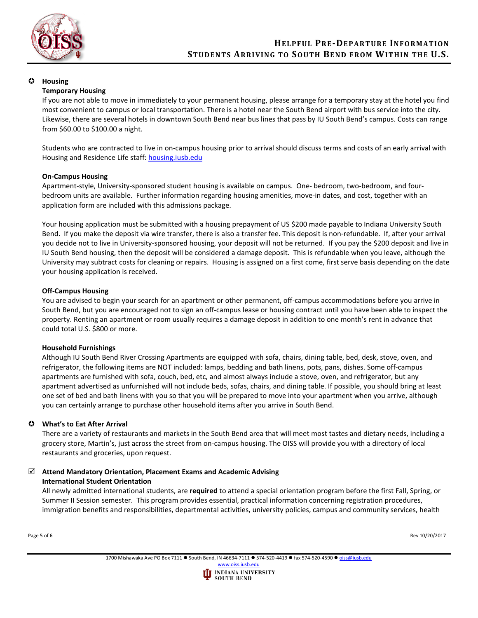

## **Housing**

## **Temporary Housing**

If you are not able to move in immediately to your permanent housing, please arrange for a temporary stay at the hotel you find most convenient to campus or local transportation. There is a hotel near the South Bend airport with bus service into the city. Likewise, there are several hotels in downtown South Bend near bus lines that pass by IU South Bend's campus. Costs can range from \$60.00 to \$100.00 a night.

Students who are contracted to live in on-campus housing prior to arrival should discuss terms and costs of an early arrival with Housing and Residence Life staff: [housing.iusb.edu](https://www.iusb.edu/housing/)

### **On-Campus Housing**

Apartment-style, University-sponsored student housing is available on campus. One- bedroom, two-bedroom, and fourbedroom units are available. Further information regarding housing amenities, move-in dates, and cost, together with an application form are included with this admissions package.

Your housing application must be submitted with a housing prepayment of US \$200 made payable to Indiana University South Bend. If you make the deposit via wire transfer, there is also a transfer fee. This deposit is non-refundable. If, after your arrival you decide not to live in University-sponsored housing, your deposit will not be returned. If you pay the \$200 deposit and live in IU South Bend housing, then the deposit will be considered a damage deposit. This is refundable when you leave, although the University may subtract costs for cleaning or repairs. Housing is assigned on a first come, first serve basis depending on the date your housing application is received.

### **Off-Campus Housing**

You are advised to begin your search for an apartment or other permanent, off-campus accommodations before you arrive in South Bend, but you are encouraged not to sign an off-campus lease or housing contract until you have been able to inspect the property. Renting an apartment or room usually requires a damage deposit in addition to one month's rent in advance that could total U.S. \$800 or more.

#### **Household Furnishings**

Although IU South Bend River Crossing Apartments are equipped with sofa, chairs, dining table, bed, desk, stove, oven, and refrigerator, the following items are NOT included: lamps, bedding and bath linens, pots, pans, dishes. Some off-campus apartments are furnished with sofa, couch, bed, etc, and almost always include a stove, oven, and refrigerator, but any apartment advertised as unfurnished will not include beds, sofas, chairs, and dining table. If possible, you should bring at least one set of bed and bath linens with you so that you will be prepared to move into your apartment when you arrive, although you can certainly arrange to purchase other household items after you arrive in South Bend.

## **What's to Eat After Arrival**

There are a variety of restaurants and markets in the South Bend area that will meet most tastes and dietary needs, including a grocery store, Martin's, just across the street from on-campus housing. The OISS will provide you with a directory of local restaurants and groceries, upon request.

# **Attend Mandatory Orientation, Placement Exams and Academic Advising International Student Orientation**

All newly admitted international students, are **required** to attend a special orientation program before the first Fall, Spring, or Summer II Session semester. This program provides essential, practical information concerning registration procedures, immigration benefits and responsibilities, departmental activities, university policies, campus and community services, health

Page 5 of 6 Rev 10/20/2017